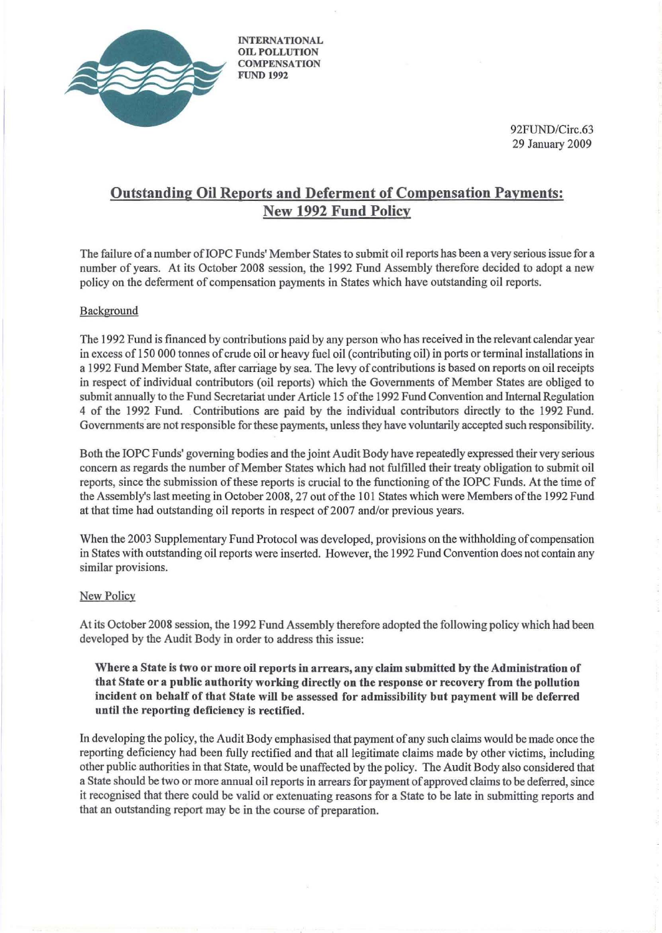

INTERNATIONAL OIL POLLUTION **COMPENSATION** FUND 1992

> 92FUND/Circ.63 29 January 2009

## Outstanding Oil Reports and Deferment of Compensation Payments: New 1992 Fund Policy

The failure of a number oflOPC Funds' Member Slates to submit oil reports has been a very serious issue for a number of years. At its October 2008 session, the 1992 Fund Assembly therefore decided to adopt a new policy on the deferment of compensation payments in States which have outstanding oil reports.

## Background

The 1992 Fund is financed by contributions paid by any person who has received in the relevant calendar year in excess of 150 000 tonnes of crude oil or heavy fuel oil (contributing oil) in ports or terminal installations in a 1992 Fund Member State, after carriage by sea. The levy of contributions is based on reports on oil receipts in respect of individual contributors (oil reports) which the Governments of Member States are obliged to submit annually to the Fund Secretariat under Article 15 ofthe 1992 Fund Convention and Internal Regulation 4 of the 1992 Fund. Contributions are paid by the individual contributors directly to the 1992 Fund. Governments are not responsible for these payments, unless they have voluntarily accepted such responsibility.

Both the IOPC Funds' governing bodies and the joint Audit Body have repeatedly expressed their very serious concern as regards the number of Member States which had not fulfilled their treaty obligation to submit oil reports, since the submission of these reports is crucial to the functioning of the IOPC Funds. At the time of the Assembly's last meeting in October 2008, 27 out ofthe 101 States which were Members ofthe 1992 Fund at that time had outstanding oil reports in respect of 2007 and/or previous years.

When the 2003 Supplementary Fund Protocol was developed, provisions on the withholding of compensation in States with outstanding oil reports were inserted. However, the 1992 Fund Convention does not contain any similar provisions.

## New Policy

At its October 2008 session, the 1992 Fund Assembly therefore adopted the following policy which had been developed by the Audit Body in order to address this issue:

Where a State is two or more oil reports in arrears, any claim submitted by the Administration of that State or a pnblic authority working directly on the response or recovery from the pollution incident on behalf of that State will be assessed for admissibility but payment will be deferred until the reporting deficiency is rectified.

In developing the policy, the Audit Body emphasised that payment of any such claims would be made once the reporting deficiency had been fully rectified and that all legitimate claims made by other victims, including other public authorities in that State, would be unaffected by the policy. The Audit Body also considered that a State should be two or more annual oil reports in arrears for payment of approved claims to be deferred, since it recognised that there could be valid or extenuating reasons for a State to be late in submitting reports and that an outstanding report may be in the course of preparation.